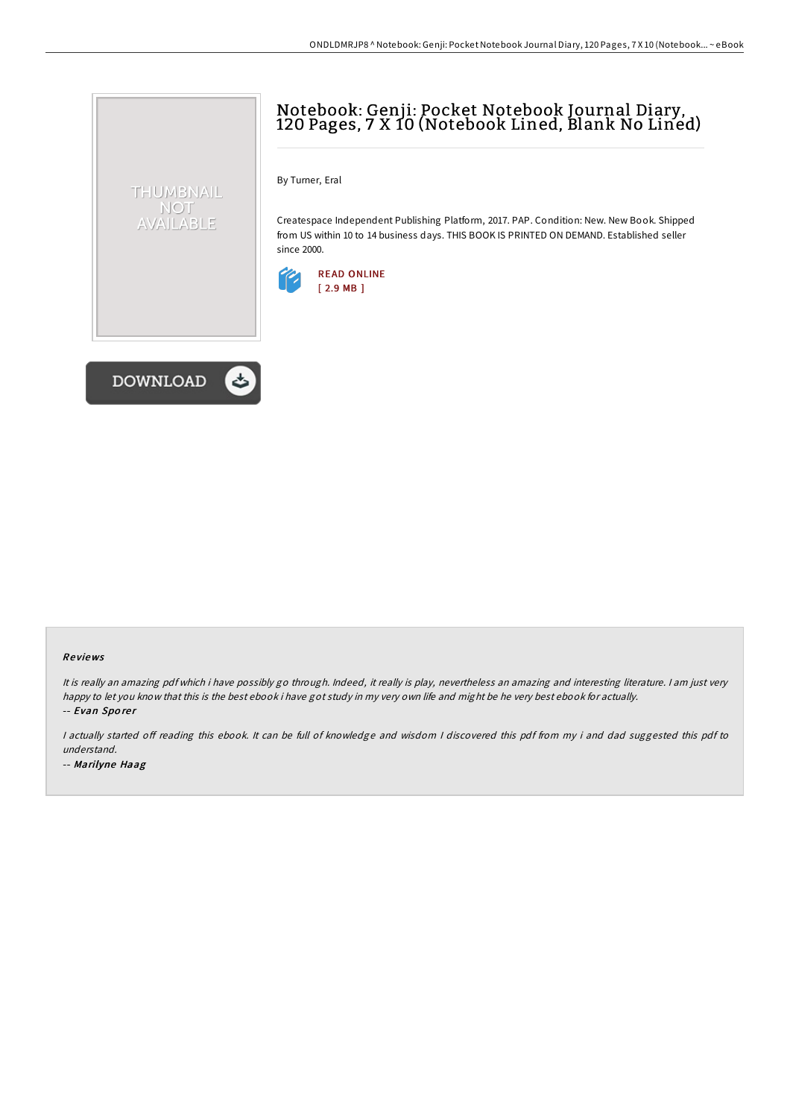## Notebook: Genji: Pocket Notebook Journal Diary, 120 Pages, 7 X 10 (Notebook Lined, Blank No Lined)

By Turner, Eral

Createspace Independent Publishing Platform, 2017. PAP. Condition: New. New Book. Shipped from US within 10 to 14 business days. THIS BOOK IS PRINTED ON DEMAND. Established seller since 2000.





THUMBNAIL NOT AVAILABLE

## Re views

It is really an amazing pdf which i have possibly go through. Indeed, it really is play, nevertheless an amazing and interesting literature. <sup>I</sup> am just very happy to let you know that this is the best ebook i have got study in my very own life and might be he very best ebook for actually. -- Evan Sporer

I actually started off reading this ebook. It can be full of knowledge and wisdom I discovered this pdf from my i and dad suggested this pdf to understand.

-- Marilyne Haag